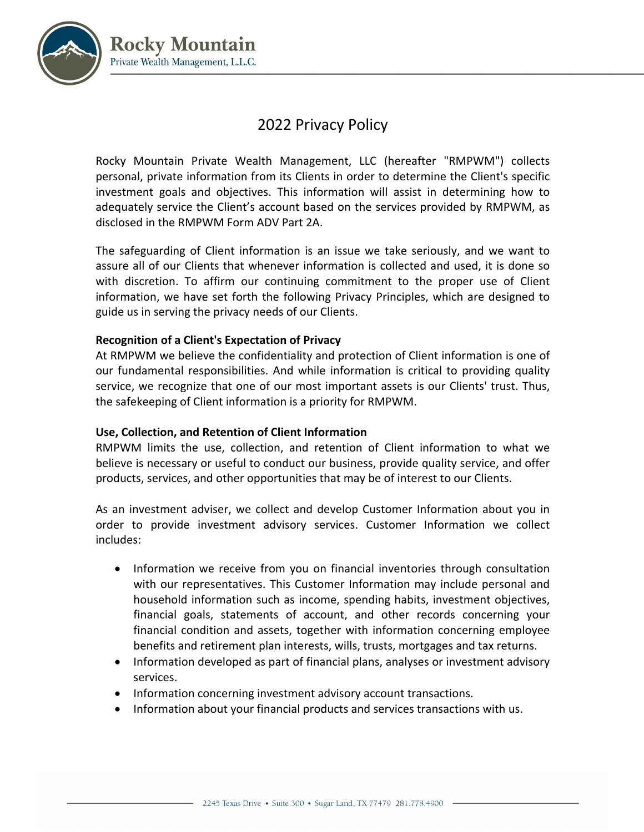

# 2022 Privacy Policy

Rocky Mountain Private Wealth Management, LLC (hereafter "RMPWM") collects personal, private information from its Clients in order to determine the Client's specific investment goals and objectives. This information will assist in determining how to adequately service the Client's account based on the services provided by RMPWM, as disclosed in the RMPWM Form ADV Part 2A.

The safeguarding of Client information is an issue we take seriously, and we want to assure all of our Clients that whenever information is collected and used, it is done so with discretion. To affirm our continuing commitment to the proper use of Client information, we have set forth the following Privacy Principles, which are designed to guide us in serving the privacy needs of our Clients.

## **Recognition of a Client's Expectation of Privacy**

At RMPWM we believe the confidentiality and protection of Client information is one of our fundamental responsibilities. And while information is critical to providing quality service, we recognize that one of our most important assets is our Clients' trust. Thus, the safekeeping of Client information is a priority for RMPWM.

## **Use, Collection, and Retention of Client Information**

RMPWM limits the use, collection, and retention of Client information to what we believe is necessary or useful to conduct our business, provide quality service, and offer products, services, and other opportunities that may be of interest to our Clients.

As an investment adviser, we collect and develop Customer Information about you in order to provide investment advisory services. Customer Information we collect includes:

- Information we receive from you on financial inventories through consultation with our representatives. This Customer Information may include personal and household information such as income, spending habits, investment objectives, financial goals, statements of account, and other records concerning your financial condition and assets, together with information concerning employee benefits and retirement plan interests, wills, trusts, mortgages and tax returns.
- Information developed as part of financial plans, analyses or investment advisory services.
- Information concerning investment advisory account transactions.
- Information about your financial products and services transactions with us.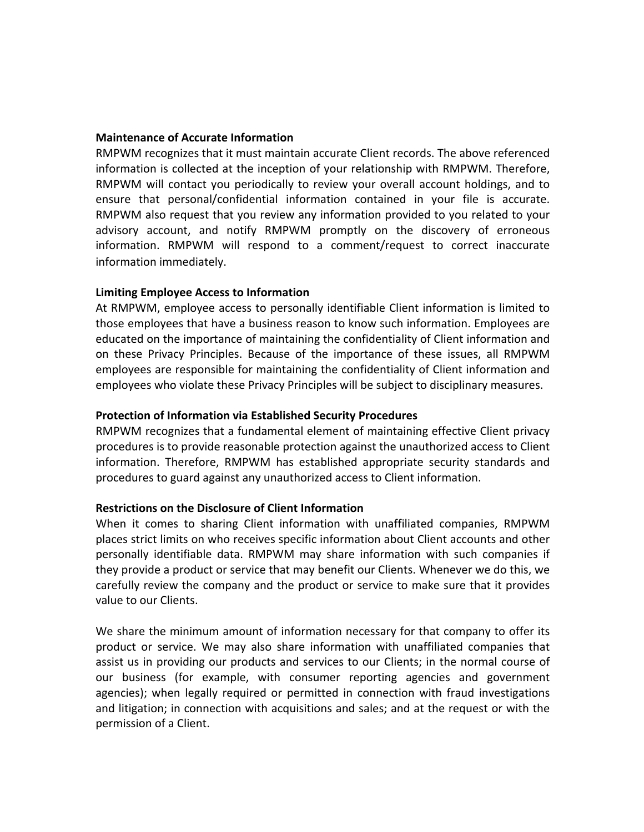#### **Maintenance of Accurate Information**

RMPWM recognizes that it must maintain accurate Client records. The above referenced information is collected at the inception of your relationship with RMPWM. Therefore, RMPWM will contact you periodically to review your overall account holdings, and to ensure that personal/confidential information contained in your file is accurate. RMPWM also request that you review any information provided to you related to your advisory account, and notify RMPWM promptly on the discovery of erroneous information. RMPWM will respond to a comment/request to correct inaccurate information immediately.

#### **Limiting Employee Access to Information**

At RMPWM, employee access to personally identifiable Client information is limited to those employees that have a business reason to know such information. Employees are educated on the importance of maintaining the confidentiality of Client information and on these Privacy Principles. Because of the importance of these issues, all RMPWM employees are responsible for maintaining the confidentiality of Client information and employees who violate these Privacy Principles will be subject to disciplinary measures.

#### **Protection of Information via Established Security Procedures**

RMPWM recognizes that a fundamental element of maintaining effective Client privacy procedures is to provide reasonable protection against the unauthorized access to Client information. Therefore, RMPWM has established appropriate security standards and procedures to guard against any unauthorized access to Client information.

#### **Restrictions on the Disclosure of Client Information**

When it comes to sharing Client information with unaffiliated companies, RMPWM places strict limits on who receives specific information about Client accounts and other personally identifiable data. RMPWM may share information with such companies if they provide a product or service that may benefit our Clients. Whenever we do this, we carefully review the company and the product or service to make sure that it provides value to our Clients.

We share the minimum amount of information necessary for that company to offer its product or service. We may also share information with unaffiliated companies that assist us in providing our products and services to our Clients; in the normal course of our business (for example, with consumer reporting agencies and government agencies); when legally required or permitted in connection with fraud investigations and litigation; in connection with acquisitions and sales; and at the request or with the permission of a Client.